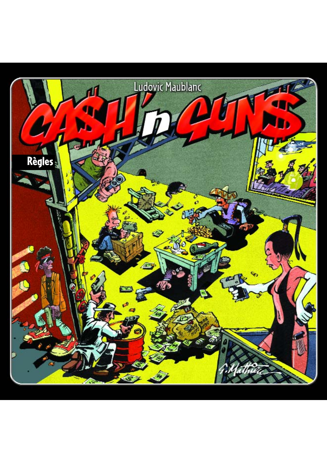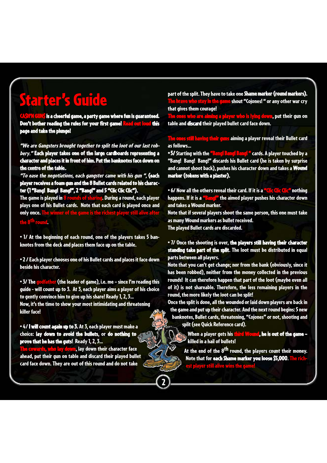# Starter's Guide

**UN\$** is a cheerful game, a party game where fun is guaranteed. Don't bother reading the rules for your first game! Read the rules for your first game! page and take the plunge!

"We are Gangsters brought together to split the loot of our last robbery." Each player takes one of the large cardboards representing a character and places it in front of him. Put the banknotes face down on the centre of the table.

"To ease the negotiations, each gangster came with his gun ", (each player receives a foam gun and the 8 Bullet cards related to his character (1 "Bang! Bang! Bang!", 2 "Bang!" and 5 "Clic Clic Clic").

The game is played in 8 rounds of sharing. During a round, each player plays one of his Bullet cards. Note that each card is played once and only once. The win the 8<sup>th</sup> round.

• 1/ At the beginning of each round, one of the players takes 5 banknotes from the deck and places them face up on the table.

• 2 / Each player chooses one of his Bullet cards and places it face down beside his character.

• 3/ The godfather (the leader of game), i.e. me - since I'm reading this guide - will count up to 3. At 3, each player aims a player of his choice to gently convince him to give up his share! Ready 1, 2, 3… Now, it's the time to show your most intimidating and threatening

killer face!

• 4/ I will count again up to 3. At 3, each player must make a choice: lay down to avoid the bullets, or do nothing to prove that he has the guts! Ready 1, 2, 3…

owa<mark>rds, who lay down</mark>, lay down their character face ahead, put their gun on table and discard their played bullet card face down. They are out of this round and do not take

part of the split. They have to take one Shame marker (round markers). <mark>rho stay in the game</mark> shout "Cojones! " or any other war cry that gives them courage!

The <mark>player who is lying down,</mark> put their gun on table and discard their played bullet card face down.

 $\blacksquare$  aiming a player reveal their Bullet card as follows…

• 5/ Starting with the "Bang! Bang! Bang! " cards. A player touched by a "Bang! Bang! Bang!" discards his Bullet card (he is taken by surprise and cannot shoot back), pushes his character down and takes a Wound marker (tokens with a plaster).

• 6/ Now all the others reveal their card. If it is a **"Clic Clic"** nothing<br>happens. If it is a **"Bappl"** the aimed player pushes his character down  $\mathbf{F}$  the aimed player pushes his character down and takes a Wound marker.

Note that if several players shoot the same person, this one must take as many Wound markers as bullet received.

The played Bullet cards are discarded.

2

• 7/ Once the shooting is over, the players still having their character standing take part of the split. The loot must be distributed in equal parts between all players.

Note that you can't get change; nor from the bank (obviously, since it has been robbed), neither from the money collected in the previous rounds! It can therefore happen that part of the loot (maybe even all of it) is not shareable. Therefore, the less remaining players in the round, the more likely the loot can be split!

Once the split is done, all the wounded or laid down players are back in the game and put up their character. And the next round begins: 5 new banknotes, Bullet cards, threatening, "Cojones" or not, shooting and split (see Quick Reference card).

When a player gets his third Wound, he is out of the game – killed in a hail of bullets!

At the end of the 8<sup>th</sup> round, the players count their money. Note that for each Shame marker you loose \$5,000. The ri yer still alive wins the g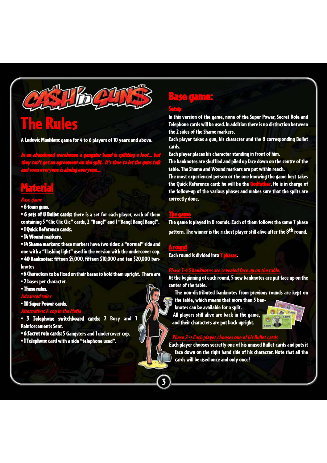

# The Rules

A Ludovic Maublanc game for 4 to 6 players of 10 years and above.

In an abandoned warehouse a gangster band is splitting a loot… but they can't get an agreement on the split. It's time to let the guns talk and soon everyone is aiming everyone…

## **Material**

#### Base game

#### $• 6$  foam  $c$

• 6 sets of 8 Bullet cards: there is a set for each player, each of them containing 5 "Clic Clic Clic" cards, 2 "Bang!" and 1 "Bang! Bang! Bang!". • 1 Quick Reference cards.

- 
- 14 Wound markers.

• 14 Shame markers: these markers have two sides: a "normal" side and one with a "flashing light" used in the version with the undercover cop. • 40 Banknotes: fifteen \$5,000, fifteen \$10,000 and ten \$20,000 banknotes

- 6 Characters to be fixed on their bases to hold them upright. There are
- 2 bases per character.

#### • These rules.

Advanced rules

• 10 Super Power cards.

#### Alternative: A cop in the Mafia

- 3 Telephone switchboard cards: 2 Busy and 1 Reinforcements Sent.
- 6 Secret role cards: 5 Gangsters and 1 undercover cop.
- 1 Telephone card with a side "telephone used".

## Base game: Setup

In this version of the game, none of the Super Power, Secret Role and Telephone cards will be used. In addition there is no distinction between the 2 sides of the Shame markers.

Each player takes a gun, his character and the 8 corresponding Bullet cards.

Each player places his character standing in front of him.

The banknotes are shuffled and piled up face down on the centre of the table. The Shame and Wound markers are put within reach.

The most experienced person or the one knowing the game best takes the Quick Reference card: he will be the Godfather. He is in charge of the follow-up of the various phases and makes sure that the splits are correctly done.

#### The game

The game is played in 8 rounds. Each of them follows the same 7 phase pattern. The winner is the richest player still alive after the 8<sup>th</sup> round.

#### A round

3

Each round is divided into 7 phases.

#### Phase 1 -> 5 banknotes are revealed face up on the table.

At the beginning of each round, 5 new banknotes are put face up on the center of the table.

The non-distributed banknotes from previous rounds are kept on

the table, which means that more than 5 ban-

knotes can be available for a split. All players still alive are back in the game, and their characters are put back upright.



#### Phase 2 -> Each player chooses one of his Bullet cards

Each player chooses secretly one of his unused Bullet cards and puts it face down on the right hand side of his character. Note that all the cards will be used once and only once!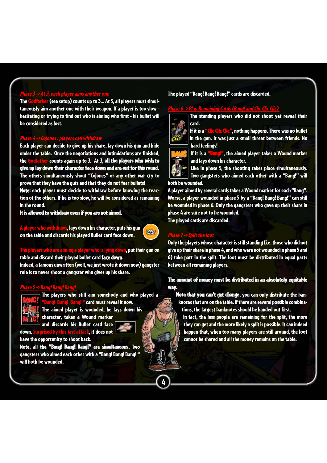#### Phase 3 -> At 3, each player aims another one

The Godfather (see setup) counts up to 3… At 3, all players must simultaneously aim another one with their weapon. If a player is too slow hesitating or trying to find out who is aiming who first - his bullet will be considered as lost.

#### Phase 4 -> Cojones : players can withdraw

Each player can decide to give up his share, lay down his gun and hide under the table. Once the negotiations and intimidations are finished, the Godfather counts again up to 3. At 3, all the players who wish to give up lay down their character face down and are out for this round. The others simultaneously shout "Cojones" or any other war cry to prove that they have the guts and that they do not fear bullets!

Note: each player must decide to withdraw before knowing the reaction of the others. If he is too slow, he will be considered as remaining in the round.

It is allowed to withdraw even if you are not aimed.



 $\overline{u}$ ers who are aiming a player who is lying down, put their gun on table and discard their played bullet card face down.

Indeed, a famous unwritten (well, we just wrote it down now) gangster rule is to never shoot a gangster who gives up his share.

#### Phase 5 -> Bang! Bang! Bang!



The players who still aim somebody and who played a <mark>g! Bang!</mark> " card must reveal it now. The aimed player is wounded; he lays down his

character, takes a Wound marker



4

down. Surprised by this fast attack, it does not have the opportunity to shoot back.

Note, all the "Bang! Bang! Bang!" are simultaneous. Two gangsters who aimed each other with a "Bang! Bang! Bang! " will both be wounded.

and discards his Bullet card face

#### The played "Bang! Bang! Bang!" cards are discarded.

#### Phase 6 -> Play Remaining Cards (Bang! and Clic Clic Clic).



The standing players who did not shoot yet reveal their card.

If it is a "Clic Clic", nothing happens. There was no bullet in the gun. It was just a small threat between friends. No hard feelings!



If it is a "Bang!", the aimed player takes a Wound marker and lays down his character.

Like in phase 5, the shooting takes place simultaneously. Two gangsters who aimed each other with a "Bang!" will both be wounded.

A player aimed by several cards takes a Wound marker for each "Bang". Worse, a player wounded in phase 5 by a "Bang! Bang! Bang!" can still be wounded in phase 6. Only the gangsters who gave up their share in phase 4 are sure not to be wounded. The played cards are discarded.

#### Phase 7 -> Split the loot

Only the players whose character is still standing (i.e. those who did not give up their share in phase 4, and who were not wounded in phase 5 and 6) take part in the split. The loot must be distributed in equal parts between all remaining players.

#### The amount of money must be distributed in an absolutely equitable way.

Note that you can't get change, you can only distribute the banknotes that are on the table. If there are several possible combinations, the largest banknotes should be handed out first.

In fact, the less people are remaining for the split, the more they can get and the more likely a split is possible. It can indeed happen that, when too many players are still around, the loot cannot be shared and all the money remains on the table.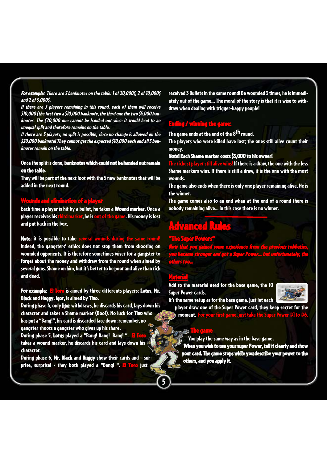For example: There are 5 banknotes on the table: 1 of 20,000\$, 2 of 10,000\$ and 2 of 5,000\$.

If there are 3 players remaining in this round, each of them will receive \$10,000 (the first two a \$10,000 banknote, the third one the two \$5,000 banknotes. The \$20,000 one cannot be handed out since it would lead to an unequal split and therefore remains on the table.

If there are 5 players, no split is possible, since no change is allowed on the \$20,000 banknote! They cannot get the expected \$10,000 each and all 5 banknotes remain on the table.

#### Once the split is done, banknotes which could not be handed out remain on the table.

They will be part of the next loot with the 5 new banknotes that will be added in the next round.

#### unds and elimination of a player

Each time a player is hit by a bullet, he takes a Wound marker. Once a player receives his third marker, he is out of the game. His money is lost and put back in the box.

Note: it is possible to take several wounds during the Indeed, the gangsters' ethics does not stop them from shooting on wounded opponents. It is therefore sometimes wiser for a gangster to forget about the money and withdraw from the round when aimed by several guns. Shame on him, but it's better to be poor and alive than rich and dead.

#### For example: El Toro is aimed by three differents players: Lotus, Mr. Black and Huggy. Igor, is aimed by Tino.

During phase 4, only Igor withdraws, he discards his card, lays down his character and takes a Shame marker (Boo!). No luck for Tino who has put a "Bang!", his card is discarded face down: remember, no gangster shoots a gangster who gives up his share.

During phase 5, Lotus played a "Bang! Bang! Bang! ". El To takes a wound marker, he discards his card and lays down his character.

During phase 6, Mr. Black and Huggy show their cards and – surprise, surprise! - they both played a "Bang! ". El Toro just

received 3 Bullets in the same round! Be wounded 3 times, he is immediately out of the game… The moral of the story is that it is wise to withdraw when dealing with trigger-happy people!

### ling / winning the game:

The game ends at the end of the 8<sup>th</sup> round.

The players who were killed have lost; the ones still alive count their money.

#### Note! Each Shame marker costs \$5,000 to his owner!

If there is a draw, the one with the less Shame markers wins. If there is still a draw, it is the one with the most wounds.

The game also ends when there is only one player remaining alive. He is the winner.

The game comes also to an end when at the end of a round there is nobody remaining alive… in this case there is no winner.

## Advanced Rules

#### "The Super Powers"

Now that you gained some experience from the previous robberies, you became stronger and got a Super Power… but unfortunately, the others too…

#### Material

5

Add to the material used for the base game, the 10 Super Power cards.



It's the same setup as for the base game. Just let each

player draw one of the Super Power card, they keep secret for the moment. <mark>For your first</mark>

#### $\Gamma$ a $\blacksquare$

You play the same way as in the base game.

When you wish to use your super Power, tell it clearly and show your card. The game stops while you describe your power to the others, and you apply it.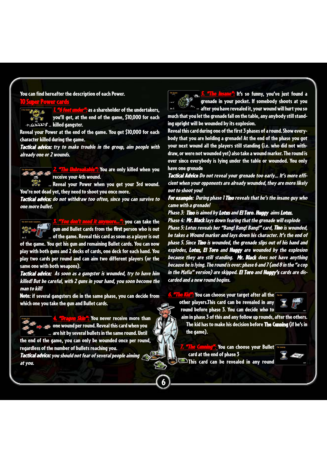You can find hereafter the description of each Power.

#### 10 Super Power cards

"6 feet under": as a shareholder of the undertakers,  $3.6$ you'll get, at the end of the game, \$10,000 for each  $\overline{\mathbf{z}}$  $+\cancel{\sqrt{2}}\cancel{\cos}$   $\ddot{\text{s}}$  killed gangster.

Reveal your Power at the end of the game. You get \$10,000 for each character killed during the game.

Tactical advice: try to make trouble in the group, aim people with already one or 2 wounds.

Unbreakable": You are only killed when you receive your 4th wound.

Reveal your Power when you get your 3rd wound. You're not dead yet, they need to shoot you once more.

Tactical advice: do not withdraw too often, since you can survive to one more bullet.

and it anymore…": you can take the gun and Bullet cards from the first person who is out of the game. Reveal this card as soon as a player is out

of the game. You get his gun and remaining Bullet cards. You can now play with both guns and 2 decks of cards, one deck for each hand. You play two cards per round and can aim two different players (or the same one with both weapons).

Tactical advice: As soon as a gangster is wounded, try to have him killed! But be careful, with 2 guns in your hand, you soon become the man to kill!

Note: if several gangsters die in the same phase, you can decide from which one you take the gun and Bullet cards.



4. <mark>"Dragon Skin": Y</mark>ou never receive more than one wound per round. Reveal this card when you are hit by several bullets in the same round. Until

the end of the game, you can only be wounded once per round, regardless of the number of bullets reaching you.

Tactical advice: you should not fear of several people aiming at you.

**Insane":** It's so funny, you've just found a The lines<br>The ø. grenade in your pocket. If somebody shoots at you  $\frac{s_{\rm obs}}{s_{\rm obs}}$  after you have revealed it, your wound will hurt you so . much that you let the grenade fall on the table, any anybody still standing upright will be wounded by its explosion.

Reveal this card during one of the first 3 phases of a round. Show everybody that you are holding a grenade! At the end of the phase you got your next wound all the players still standing (i.e. who did not withdraw, or were not wounded yet) also take a wound marker. The round is over since everybody is lying under the table or wounded. You only have one grenade

Tactical Advice Do not reveal your grenade too early… It's more efficient when your opponents are already wounded, they are more likely not to shoot you!

For example: During phase 1 Tino reveals that he's the insane guy who came with a grenade!

Phase 3: Tino is aimed by Lotus and El Toro. Huggy aims Lotus.

Phase 4: Mr. Black lays down fearing that the grenade will explode Phase 5: Lotus reveals her "Bang! Bang! Bang!" card, Tino is wounded, he takes a Wound marker and lays down his character. It's the end of phase 5. Since Tino is wounded, the grenade slips out of his hand and explodes, Lotus, El Toro and Huggy are wounded by the explosion because they are still standing. Mr. Black does not have anything because he is lying. The round is over: phase 6 and 7 (and 8 in the "a cop in the Mafia" version) are skipped. El Toro and Huggy's cards are discarded and a new round begins.

**Kid":** You can choose your target after all the other players.This card can be revealed in any round before phase 3. You can decide who to



aim in phase 3 of this and any follow up rounds, after the others. The kid has to make his decision before The Cunning(if he's in the game).

**Cunning": You can choose your Bullet** card at the end of phase 3 This card can be revealed in any round

6

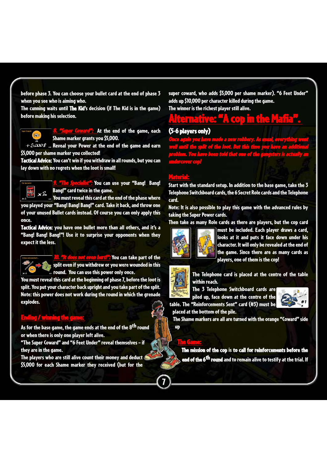before phase 3. You can choose your bullet card at the end of phase 3 when you see who is aiming who.

The cunning waits until The Kid's decision (if The Kid is in the game) before making his selection.



**8. Coward":** At the end of the game, each Shame marker grants you \$5,000.

 $+5.000$  s ... Reveal your Power at the end of the game and earn \$5,000 per shame marker you collected!

Tactical Advice: You can't win if you withdraw in all rounds, but you can lay down with no regrets when the loot is small!



**7. "The Specialist":** You can use your "Bang! Bang! Bang!" card twice in the game.

You must reveal this card at the end of the phase where you played your "Bang! Bang! Bang!" card. Take it back, and throw one of your unused Bullet cards instead. Of course you can only apply this once.

Tactical Advice: you have one bullet more than all others, and it's a "Bang! Bang! Bang!"! Use it to surprise your opponents when they expect it the less.



It does not even hurt!": You can take part of the split even if you withdrew or you were wounded in this round. You can use this power only once.

You must reveal this card at the beginning of phase 7, before the loot is split. You put your character back upright and you take part of the split. Note: this power does not work during the round in which the grenade explodes.

#### Ending / winning the gan

As for the base game, the game ends at the end of the  $8<sup>th</sup>$  round or when there is only one player left alive.

"The Super Coward" and "6 Feet Under" reveal themselves – if they are in the game.

The players who are still alive count their money and deduct \$5,000 for each Shame marker they received (but for the

super coward, who adds \$5,000 per shame marker). "6 Feet Under" adds up \$10,000 per character killed during the game. The winner is the richest player still alive.

# **Alternative: "A cop in the Mafia".**<br>(5-6 players only)

Once again you have made a new robbery. As usual, everything went well until the split of the loot. But this time you have an additional problem. You have been told that one of the gangsters is actually an undercover cop!

#### Material:

Start with the standard setup. In addition to the base game, take the 3 Telephone Switchboard cards, the 6 Secret Role cards and the Telephone card.

Note: It is also possible to play this game with the advanced rules by taking the Super Power cards.

Then take as many Role cards as there are players, but the cop card



The Game:

7

must be included. Each player draws a card, looks at it and puts it face down under his character. It will only be revealed at the end of the game. Since there are as many cards as players, one of them is the cop!



The Telephone card is placed at the centre of the table within reach.

The 3 Telephone Switchboard cards are piled up, face down at the centre of the table. The "Reinforcements Sent" card (#3) must be



placed at the bottom of the pile.

The Shame markers are all are turned with the orange "Coward" side up

The mission of the cop is to call for reinforcements before the end of the 6<sup>th</sup> round and to remain alive to testify at the trial. If